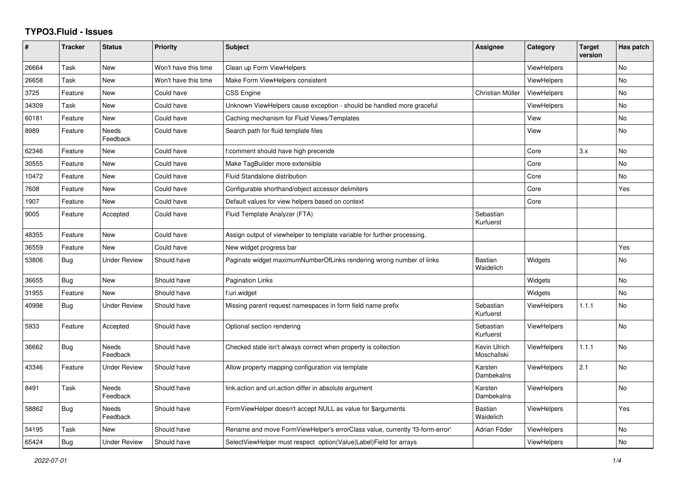## **TYPO3.Fluid - Issues**

| #     | <b>Tracker</b> | <b>Status</b>       | <b>Priority</b>      | Subject                                                                      | Assignee                    | Category           | <b>Target</b><br>version | Has patch |
|-------|----------------|---------------------|----------------------|------------------------------------------------------------------------------|-----------------------------|--------------------|--------------------------|-----------|
| 26664 | Task           | New                 | Won't have this time | Clean up Form ViewHelpers                                                    |                             | <b>ViewHelpers</b> |                          | No        |
| 26658 | Task           | New                 | Won't have this time | Make Form ViewHelpers consistent                                             |                             | <b>ViewHelpers</b> |                          | No        |
| 3725  | Feature        | New                 | Could have           | CSS Engine                                                                   | Christian Müller            | ViewHelpers        |                          | No        |
| 34309 | Task           | New                 | Could have           | Unknown ViewHelpers cause exception - should be handled more graceful        |                             | <b>ViewHelpers</b> |                          | No        |
| 60181 | Feature        | New                 | Could have           | Caching mechanism for Fluid Views/Templates                                  |                             | View               |                          | No        |
| 8989  | Feature        | Needs<br>Feedback   | Could have           | Search path for fluid template files                                         |                             | View               |                          | No        |
| 62346 | Feature        | New                 | Could have           | f:comment should have high precende                                          |                             | Core               | 3.x                      | No        |
| 30555 | Feature        | New                 | Could have           | Make TagBuilder more extensible                                              |                             | Core               |                          | No        |
| 10472 | Feature        | <b>New</b>          | Could have           | Fluid Standalone distribution                                                |                             | Core               |                          | No        |
| 7608  | Feature        | New                 | Could have           | Configurable shorthand/object accessor delimiters                            |                             | Core               |                          | Yes       |
| 1907  | Feature        | New                 | Could have           | Default values for view helpers based on context                             |                             | Core               |                          |           |
| 9005  | Feature        | Accepted            | Could have           | Fluid Template Analyzer (FTA)                                                | Sebastian<br>Kurfuerst      |                    |                          |           |
| 48355 | Feature        | <b>New</b>          | Could have           | Assign output of viewhelper to template variable for further processing.     |                             |                    |                          |           |
| 36559 | Feature        | New                 | Could have           | New widget progress bar                                                      |                             |                    |                          | Yes       |
| 53806 | Bug            | Under Review        | Should have          | Paginate widget maximumNumberOfLinks rendering wrong number of links         | Bastian<br>Waidelich        | Widgets            |                          | No        |
| 36655 | <b>Bug</b>     | <b>New</b>          | Should have          | Pagination Links                                                             |                             | Widgets            |                          | <b>No</b> |
| 31955 | Feature        | <b>New</b>          | Should have          | f:uri.widget                                                                 |                             | Widgets            |                          | No        |
| 40998 | Bug            | <b>Under Review</b> | Should have          | Missing parent request namespaces in form field name prefix                  | Sebastian<br>Kurfuerst      | <b>ViewHelpers</b> | 1.1.1                    | <b>No</b> |
| 5933  | Feature        | Accepted            | Should have          | Optional section rendering                                                   | Sebastian<br>Kurfuerst      | <b>ViewHelpers</b> |                          | No        |
| 36662 | Bug            | Needs<br>Feedback   | Should have          | Checked state isn't always correct when property is collection               | Kevin Ulrich<br>Moschallski | <b>ViewHelpers</b> | 1.1.1                    | No        |
| 43346 | Feature        | <b>Under Review</b> | Should have          | Allow property mapping configuration via template                            | Karsten<br>Dambekalns       | <b>ViewHelpers</b> | 2.1                      | <b>No</b> |
| 8491  | Task           | Needs<br>Feedback   | Should have          | link action and uri action differ in absolute argument                       | Karsten<br>Dambekalns       | <b>ViewHelpers</b> |                          | No        |
| 58862 | <b>Bug</b>     | Needs<br>Feedback   | Should have          | FormViewHelper doesn't accept NULL as value for \$arguments                  | Bastian<br>Waidelich        | <b>ViewHelpers</b> |                          | Yes       |
| 54195 | Task           | New                 | Should have          | Rename and move FormViewHelper's errorClass value, currently 'f3-form-error' | Adrian Föder                | <b>ViewHelpers</b> |                          | No        |
| 65424 | Bug            | <b>Under Review</b> | Should have          | SelectViewHelper must respect option(Value Label)Field for arrays            |                             | ViewHelpers        |                          | No        |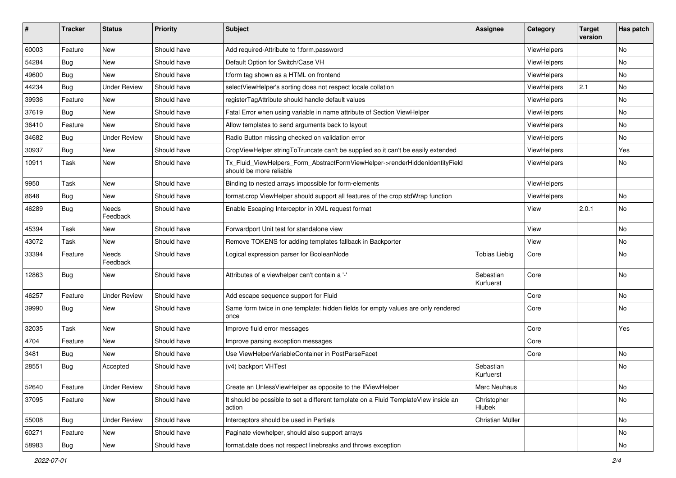| $\sharp$ | <b>Tracker</b> | <b>Status</b>       | <b>Priority</b> | <b>Subject</b>                                                                                         | <b>Assignee</b>        | Category    | <b>Target</b><br>version | Has patch |
|----------|----------------|---------------------|-----------------|--------------------------------------------------------------------------------------------------------|------------------------|-------------|--------------------------|-----------|
| 60003    | Feature        | New                 | Should have     | Add required-Attribute to f:form.password                                                              |                        | ViewHelpers |                          | <b>No</b> |
| 54284    | Bug            | New                 | Should have     | Default Option for Switch/Case VH                                                                      |                        | ViewHelpers |                          | No        |
| 49600    | Bug            | New                 | Should have     | f:form tag shown as a HTML on frontend                                                                 |                        | ViewHelpers |                          | No        |
| 44234    | Bug            | <b>Under Review</b> | Should have     | selectViewHelper's sorting does not respect locale collation                                           |                        | ViewHelpers | 2.1                      | No        |
| 39936    | Feature        | New                 | Should have     | registerTagAttribute should handle default values                                                      |                        | ViewHelpers |                          | <b>No</b> |
| 37619    | Bug            | New                 | Should have     | Fatal Error when using variable in name attribute of Section ViewHelper                                |                        | ViewHelpers |                          | No        |
| 36410    | Feature        | New                 | Should have     | Allow templates to send arguments back to layout                                                       |                        | ViewHelpers |                          | No        |
| 34682    | Bug            | <b>Under Review</b> | Should have     | Radio Button missing checked on validation error                                                       |                        | ViewHelpers |                          | No        |
| 30937    | Bug            | <b>New</b>          | Should have     | CropViewHelper stringToTruncate can't be supplied so it can't be easily extended                       |                        | ViewHelpers |                          | Yes       |
| 10911    | Task           | New                 | Should have     | Tx_Fluid_ViewHelpers_Form_AbstractFormViewHelper->renderHiddenIdentityField<br>should be more reliable |                        | ViewHelpers |                          | No        |
| 9950     | Task           | New                 | Should have     | Binding to nested arrays impossible for form-elements                                                  |                        | ViewHelpers |                          |           |
| 8648     | Bug            | New                 | Should have     | format.crop ViewHelper should support all features of the crop stdWrap function                        |                        | ViewHelpers |                          | No        |
| 46289    | Bug            | Needs<br>Feedback   | Should have     | Enable Escaping Interceptor in XML request format                                                      |                        | View        | 2.0.1                    | No        |
| 45394    | Task           | New                 | Should have     | Forwardport Unit test for standalone view                                                              |                        | View        |                          | No        |
| 43072    | Task           | New                 | Should have     | Remove TOKENS for adding templates fallback in Backporter                                              |                        | View        |                          | No        |
| 33394    | Feature        | Needs<br>Feedback   | Should have     | Logical expression parser for BooleanNode                                                              | <b>Tobias Liebig</b>   | Core        |                          | No        |
| 12863    | Bug            | New                 | Should have     | Attributes of a viewhelper can't contain a '-'                                                         | Sebastian<br>Kurfuerst | Core        |                          | No        |
| 46257    | Feature        | <b>Under Review</b> | Should have     | Add escape sequence support for Fluid                                                                  |                        | Core        |                          | No        |
| 39990    | Bug            | New                 | Should have     | Same form twice in one template: hidden fields for empty values are only rendered<br>once              |                        | Core        |                          | No        |
| 32035    | Task           | New                 | Should have     | Improve fluid error messages                                                                           |                        | Core        |                          | Yes       |
| 4704     | Feature        | New                 | Should have     | Improve parsing exception messages                                                                     |                        | Core        |                          |           |
| 3481     | Bug            | New                 | Should have     | Use ViewHelperVariableContainer in PostParseFacet                                                      |                        | Core        |                          | No        |
| 28551    | Bug            | Accepted            | Should have     | (v4) backport VHTest                                                                                   | Sebastian<br>Kurfuerst |             |                          | No        |
| 52640    | Feature        | <b>Under Review</b> | Should have     | Create an UnlessViewHelper as opposite to the IfViewHelper                                             | Marc Neuhaus           |             |                          | No        |
| 37095    | Feature        | New                 | Should have     | It should be possible to set a different template on a Fluid TemplateView inside an<br>action          | Christopher<br>Hlubek  |             |                          | No        |
| 55008    | <b>Bug</b>     | <b>Under Review</b> | Should have     | Interceptors should be used in Partials                                                                | Christian Müller       |             |                          | No        |
| 60271    | Feature        | New                 | Should have     | Paginate viewhelper, should also support arrays                                                        |                        |             |                          | No        |
| 58983    | <b>Bug</b>     | New                 | Should have     | format.date does not respect linebreaks and throws exception                                           |                        |             |                          | No        |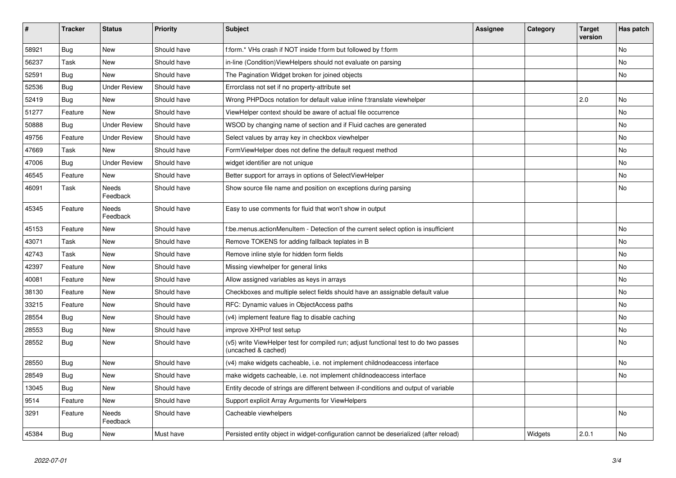| $\vert$ # | <b>Tracker</b> | <b>Status</b>       | <b>Priority</b> | <b>Subject</b>                                                                                              | Assignee | Category | <b>Target</b><br>version | Has patch |
|-----------|----------------|---------------------|-----------------|-------------------------------------------------------------------------------------------------------------|----------|----------|--------------------------|-----------|
| 58921     | <b>Bug</b>     | <b>New</b>          | Should have     | f:form.* VHs crash if NOT inside f:form but followed by f:form                                              |          |          |                          | <b>No</b> |
| 56237     | Task           | New                 | Should have     | in-line (Condition) View Helpers should not evaluate on parsing                                             |          |          |                          | <b>No</b> |
| 52591     | <b>Bug</b>     | <b>New</b>          | Should have     | The Pagination Widget broken for joined objects                                                             |          |          |                          | No        |
| 52536     | <b>Bug</b>     | <b>Under Review</b> | Should have     | Errorclass not set if no property-attribute set                                                             |          |          |                          |           |
| 52419     | Bug            | <b>New</b>          | Should have     | Wrong PHPDocs notation for default value inline f:translate viewhelper                                      |          |          | 2.0                      | <b>No</b> |
| 51277     | Feature        | New                 | Should have     | ViewHelper context should be aware of actual file occurrence                                                |          |          |                          | <b>No</b> |
| 50888     | Bug            | <b>Under Review</b> | Should have     | WSOD by changing name of section and if Fluid caches are generated                                          |          |          |                          | No        |
| 49756     | Feature        | <b>Under Review</b> | Should have     | Select values by array key in checkbox viewhelper                                                           |          |          |                          | <b>No</b> |
| 47669     | Task           | New                 | Should have     | Form View Helper does not define the default request method                                                 |          |          |                          | No        |
| 47006     | Bug            | <b>Under Review</b> | Should have     | widget identifier are not unique                                                                            |          |          |                          | No        |
| 46545     | Feature        | New                 | Should have     | Better support for arrays in options of SelectViewHelper                                                    |          |          |                          | No        |
| 46091     | Task           | Needs<br>Feedback   | Should have     | Show source file name and position on exceptions during parsing                                             |          |          |                          | <b>No</b> |
| 45345     | Feature        | Needs<br>Feedback   | Should have     | Easy to use comments for fluid that won't show in output                                                    |          |          |                          |           |
| 45153     | Feature        | New                 | Should have     | f:be.menus.actionMenuItem - Detection of the current select option is insufficient                          |          |          |                          | <b>No</b> |
| 43071     | Task           | New                 | Should have     | Remove TOKENS for adding fallback teplates in B                                                             |          |          |                          | No        |
| 42743     | Task           | New                 | Should have     | Remove inline style for hidden form fields                                                                  |          |          |                          | <b>No</b> |
| 42397     | Feature        | <b>New</b>          | Should have     | Missing viewhelper for general links                                                                        |          |          |                          | <b>No</b> |
| 40081     | Feature        | New                 | Should have     | Allow assigned variables as keys in arrays                                                                  |          |          |                          | No        |
| 38130     | Feature        | <b>New</b>          | Should have     | Checkboxes and multiple select fields should have an assignable default value                               |          |          |                          | <b>No</b> |
| 33215     | Feature        | New                 | Should have     | RFC: Dynamic values in ObjectAccess paths                                                                   |          |          |                          | <b>No</b> |
| 28554     | <b>Bug</b>     | New                 | Should have     | (v4) implement feature flag to disable caching                                                              |          |          |                          | <b>No</b> |
| 28553     | Bug            | New                 | Should have     | improve XHProf test setup                                                                                   |          |          |                          | No        |
| 28552     | Bug            | New                 | Should have     | (v5) write ViewHelper test for compiled run; adjust functional test to do two passes<br>(uncached & cached) |          |          |                          | <b>No</b> |
| 28550     | Bug            | New                 | Should have     | (v4) make widgets cacheable, i.e. not implement childnodeaccess interface                                   |          |          |                          | <b>No</b> |
| 28549     | Bug            | New                 | Should have     | make widgets cacheable, i.e. not implement childnodeaccess interface                                        |          |          |                          | No        |
| 13045     | Bug            | New                 | Should have     | Entity decode of strings are different between if-conditions and output of variable                         |          |          |                          |           |
| 9514      | Feature        | <b>New</b>          | Should have     | Support explicit Array Arguments for ViewHelpers                                                            |          |          |                          |           |
| 3291      | Feature        | Needs<br>Feedback   | Should have     | Cacheable viewhelpers                                                                                       |          |          |                          | <b>No</b> |
| 45384     | Bug            | New                 | Must have       | Persisted entity object in widget-configuration cannot be deserialized (after reload)                       |          | Widgets  | 2.0.1                    | <b>No</b> |